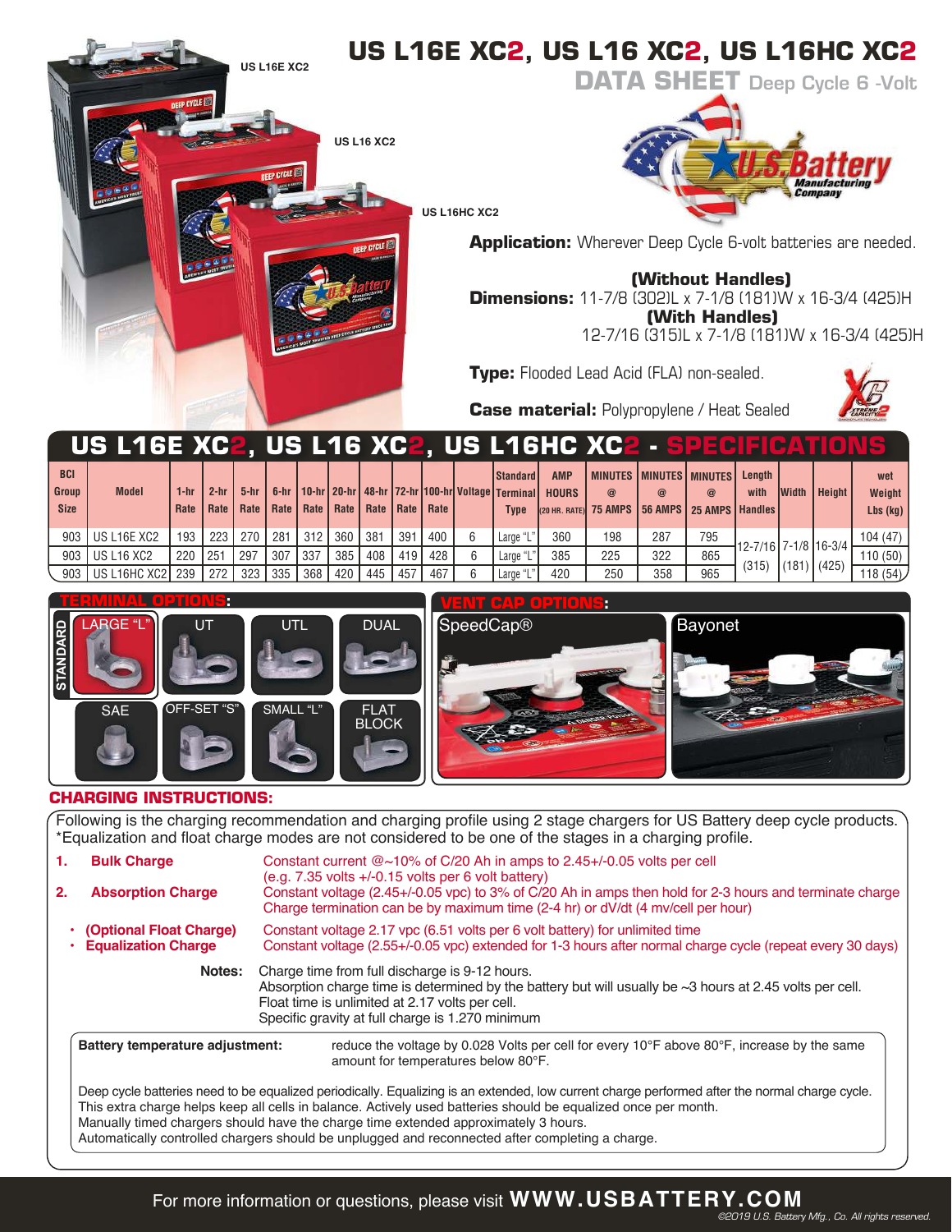

|                                           |                   |              |                |        |                    |            |     | ------                    |     |     |                                                                                                            | .                          |                                                                                     |             |          |                      |                 |               |                             |
|-------------------------------------------|-------------------|--------------|----------------|--------|--------------------|------------|-----|---------------------------|-----|-----|------------------------------------------------------------------------------------------------------------|----------------------------|-------------------------------------------------------------------------------------|-------------|----------|----------------------|-----------------|---------------|-----------------------------|
| <b>BCI</b><br><b>Group</b><br><b>Size</b> | <b>Model</b>      | 1-hr<br>Rate | $2-hr$<br>Rate | $5-hr$ | Rate   Rate   Rate |            |     | Rate   Rate   Rate   Rate |     |     | <b>I</b> Standard I<br>6-hr   10-hr   20-hr   48-hr   72-hr   100-hr   Voltage   Terminal  <br><b>Type</b> | <b>AMP</b><br><b>HOURS</b> | MINUTES   MINUTES   MINUTES  <br>@<br>(20 HR. RATE) 75 AMPS 56 AMPS 25 AMPS Handles | $\circleda$ | $\omega$ | Lenath<br>with       | <b>Width</b>    | <b>Height</b> | wet<br>Weight<br>$Lbs$ (kg) |
| 903                                       | US L16E XC2       | 193          | 223            | 270    | $\sqrt{281}$       | 312        | 360 | 381                       | 391 | 400 | Large "                                                                                                    | 360                        | 198                                                                                 | 287         | 795      | 12-7/16 7-1/8 16-3/4 |                 |               | 104 (47)                    |
| 903                                       | <b>US L16 XC2</b> | 220          | 251            | 297    | 307                | <b>337</b> | 385 | 408                       | 419 | 428 | Large "                                                                                                    | 385                        | 225                                                                                 | 322         | 865      |                      | $(181)$ $(425)$ |               | 110(50)                     |
| 903                                       | US L16HC XC2      | 239          | 272            | 323    | 335                | 368        | 420 | 445                       | 457 | 467 | Large "                                                                                                    | 420                        | 250                                                                                 | 358         | 965      | (315)                |                 |               | 118(54)                     |



# **VENT CAP OPTIONS:**



# **CHARGING INSTRUCTIONS:**

Following is the charging recommendation and charging profile using 2 stage chargers for US Battery deep cycle products. \*Equalization and float charge modes are not considered to be one of the stages in a charging profile.

| 1. | <b>Bulk Charge</b>                                                                                                                                                                                                                                                                                                                                                                                                                                          | Constant current $@{\sim}10\%$ of C/20 Ah in amps to 2.45+/-0.05 volts per cell<br>$(e.q. 7.35$ volts $+/-0.15$ volts per 6 volt battery)                                                                                                                               |  |  |  |  |  |  |  |  |
|----|-------------------------------------------------------------------------------------------------------------------------------------------------------------------------------------------------------------------------------------------------------------------------------------------------------------------------------------------------------------------------------------------------------------------------------------------------------------|-------------------------------------------------------------------------------------------------------------------------------------------------------------------------------------------------------------------------------------------------------------------------|--|--|--|--|--|--|--|--|
| 2. | <b>Absorption Charge</b>                                                                                                                                                                                                                                                                                                                                                                                                                                    | Constant voltage (2.45+/-0.05 vpc) to 3% of C/20 Ah in amps then hold for 2-3 hours and terminate charge<br>Charge termination can be by maximum time (2-4 hr) or dV/dt (4 mv/cell per hour)                                                                            |  |  |  |  |  |  |  |  |
|    | (Optional Float Charge)<br><b>Equalization Charge</b>                                                                                                                                                                                                                                                                                                                                                                                                       | Constant voltage 2.17 ypc (6.51 yolts per 6 yolt battery) for unlimited time<br>Constant voltage (2.55+/-0.05 vpc) extended for 1-3 hours after normal charge cycle (repeat every 30 days)                                                                              |  |  |  |  |  |  |  |  |
|    | Notes:                                                                                                                                                                                                                                                                                                                                                                                                                                                      | Charge time from full discharge is 9-12 hours.<br>Absorption charge time is determined by the battery but will usually be $\sim$ 3 hours at 2.45 volts per cell.<br>Float time is unlimited at 2.17 volts per cell.<br>Specific gravity at full charge is 1.270 minimum |  |  |  |  |  |  |  |  |
|    | Battery temperature adjustment:                                                                                                                                                                                                                                                                                                                                                                                                                             | reduce the voltage by 0.028 Volts per cell for every 10 $\degree$ F above 80 $\degree$ F, increase by the same<br>amount for temperatures below 80°F.                                                                                                                   |  |  |  |  |  |  |  |  |
|    | Deep cycle batteries need to be equalized periodically. Equalizing is an extended, low current charge performed after the normal charge cycle.<br>This extra charge helps keep all cells in balance. Actively used batteries should be equalized once per month.<br>Manually timed chargers should have the charge time extended approximately 3 hours.<br>Automatically controlled chargers should be unplugged and reconnected after completing a charge. |                                                                                                                                                                                                                                                                         |  |  |  |  |  |  |  |  |

For more information or questions, please visit **WWW.USBATTERY.COM**